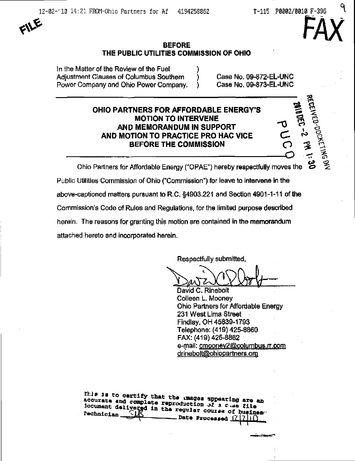FAX

7  $\mathbf{f}$ 

 $\Delta$   $\sim$ 

——U – = 5



# BEFORE THE PUBLIC UTILITIES COMMISSION OF OHIO

In the Matter of the Review of the Fuel Adjustment Clauses of Columbus Southern (b) Case No. 09-872-EL-UNC Power Company and Ohio Power Company. ) Case No. 09-873-EL-UNC

# OHIO PARTNERS FOR AFFORDABLE ENERGY'S **MOTION TO INTERVENE** AND MEMORANDUM IN SUPPORT AND MOTION TO PRACTICE PRO HAC VICE BEFORE THE COMMISSION

Ohio Partners for Affordable Energy ("OPAE") hereby respectfully moves the Public Utilities Commission of Ohio ("Commission") for leave to Intervene in the above-captioned matters pursuant to R.C.  $\S$ 4903.221 and Section 4901-1-11 of the Commission's Code of Rules and Regulations, for the limited purpose described herein. The reasons for granting this motion are contained in the memorandum attached hereto and incorporated herein.

Respectfully submitted,

David C. Rinebolt Colleen L. Mooney Ohio Partners for Affordable Energy 231 West Lima Street Findlay, OH 45839-1793 Telephone: (419) 425-8860 FAX: (419) 425^8862 e-mail: cmoonev2@columbus.n.com drinebolt@ohiopartners.org

iocument delivered in the magnitude of a c .ae file  $\frac{1}{\sqrt{2}}$  Date Processed  $\frac{1}{2}$   $\frac{1}{2}$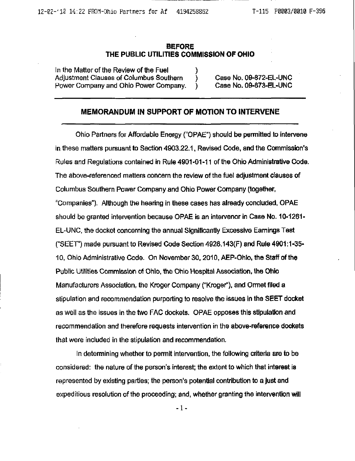### **BEFORE** THE PUBLIC UTILITIES COMMISSION OF OHIO

In the Matter of the Review of the Fuel Adjustment Clauses of Columbus Southern ) Case No. 09-872-EL-UNC Power Company and Ohio Power Company. ) Case No. 09-873-EL-UNC

## MEMORANDUM IN SUPPORT OF MOTION TO INTERVENE

Ohio Partners for Affordable Energy ("OPAE") should be permitted to intervene in these matters pursuant to Section 4903.22.1, Revised Code, and the Commission's Rules and Regulations contained in Rule 4901-01-11 of the Ohio Administrative Code. The above-referenced matters concern the review of the fuel adjustment clauses of Columbus Southern Power Company and Ohio Power Company (together, "Companies"). Although the hearing in these cases has already concluded, OPAE should be granted intervention because OPAE is an intervenor in Case No. 10-1261- EL-UNC, the docket concerning the annual Significantly Excessive Earnings Test ("SEET") made pursuant to Revised Code Section 4928.143(F) and Rule 4901:1-35- 10, Ohio Administrative Code. On November 30, 2010, AEP-Ohio, the Staff ofthe Public Utilities Commission of Ohio, the Ohio Hospital Association, the Ohto Manufacturers Association, the Kroger Company ("Kroger"), and Ormet filed a stipulation and recommendation purporting to resolve the issues in the SEET docket as well as the issues in the two FAC dockets. OPAE opposes this stipulatfon and recommendation and therefore requests intervention in the above-reference dockets that were included in the stipulation and recommendation.

In determining whether to permit intervention, the following criteria are to be considered: the nature of the person's interest; the extent to which that interest is represented by existing parties; the person's potential contribution to a just and expeditious resolution of the proceeding; and, whether granting the intervention will

- 1 -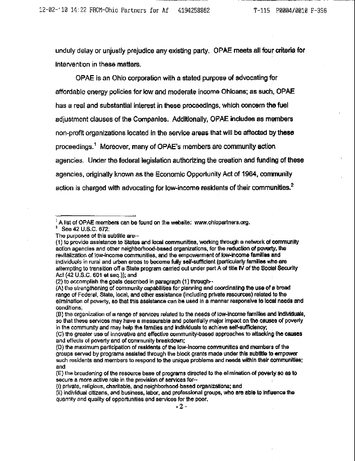unduly delay or unjustly prejudice any existing party. OPAE meets all four criteria for intervention in these matters.

OPAE is an Ohio corporation with a stated purpose of advocating for affordable energy policies for low and moderate income Ohioans; as such, OPAE has a real and substantial interest in these proceedings, which concern the fuel adjustment clauses of the Companies. Additionally, OPAE includes as members non-profit organizations located in the service areas that will be affected tiy these proceedings.'' Moreover, many of OPAE's members are community action agencies. Under the federal legislation authorizing the creation and funding of these agencies, originally known as the Economic Opportunity Act of 1964, community action is charged with advocating for low-income residents of their communities. $^2$ 

 $^1$  A list of OPAE members can be found on the website: [www.ohiopartners.org.](http://www.ohiopartners.org)

<sup>&#</sup>x27; See42U.S.C,672;

The purposes of this subtitle are-

<sup>(1)</sup> to provide assistance to States and local communities, working through a network of community action agencies and other neighborhood-based organizations, for ihe reduction of poverty, the revitalization of low-income communities, and the empowerment of low-Income families and individuals in rural and urban areas to become fully self-sufficient (particularly femilies who are attempting to transition off a State program carried out under part A of title IV of the Social Security Act (42 U.S.C. 601 et seq.)); and

<sup>(2)</sup> to accomplish the goate described in paragraph (1) through-

<sup>(</sup>A) the sirenglhening of community capabilities for planning and coordinating the use of a broad range of Federal, State, local, and other assistance (including private resources) related to the eiimination of poverty, so that this assistance can be used in a manner responsive to local needs and conditions;

<sup>(</sup>B) the organization of a range of services related to the needs of low-income families and individuals, so that these services may have a measurable and potentially major impact on the causes of poverty in the community and may help the families and individuals to achieve self-sufficiency;

<sup>(</sup>C) the greater use of innovative and effective community-based approaches to attacking the causes and effects of poverty and of community breakdown;

<sup>(</sup>D) the maximum participation of residents of the low-income communities and members of the groups served by programs assisted through the block grants made under this subtitle to empower such residents and members to respond to the unique problems and needs within their communities; and

<sup>(</sup>E) the broadening of the resource base of programs directed to the elimination of poverty so as to secure a more active role in the provision of services for-

<sup>(</sup>j) private, religious, charitable, and neighborhood-based organizations; and

<sup>(</sup>ii) individual citizens, and business, tabor, and professional groups, who are able to infiijence the quantity and quality of opportunities and services for the poor.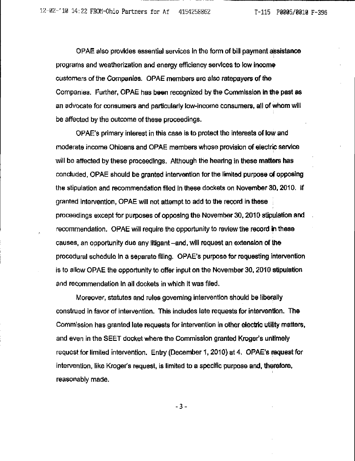OPAE also provides essential services in the form of bill payment assistance programs and weatherization and energy efficiency sen^ices to low income customers of the Companies. OPAE members are also ratepayers of the Companies. Further, OPAE has been recognized by the Commission in the past as an advocate for consumers and particularly low-income consumers, all of whom will be affected by the outcome of these proceedings.

OPAE's primary interest in this case is to protect the interests of low and moderate income Ohioans and OPAE members whose provision of electric service will be affected by these proceedings. Although the hearing in these matters has concluded, OPAE should be granted intervention for the limited purpose of opposing the stipulation and recommendation filed in these dockets on November 30,2010. If granted intervention, OPAE will not attempt to add to the record in these proceedings except tor purposes of opposing the November 30.2010 stipulation and recommendation. OPAE will require the opportunity to review the record in these causes, an opportunity due any litigant-and, will request an extension of the procedural schedule In a separate filing. OPAE's purpose for requesting intervention is to allow OPAE the opportunity to offer input on the November 30,2010 stipulation and recommendation in all dockets in which it was filed.

Moreover, statutes and rules governing intervention should be liberally construed in favor of intervention. This includes late requests for intervention. The Commission has granted late requests for intervention In other electric utility matters, and even in the SEET docket where the Commission granted Kroger's untimely request for limited intervention. Entry (December 1, 2010) at 4. OPAE's request for intervention, like Kroger's request, is limited to a specific purpose and, therefore, reasonably made.

3-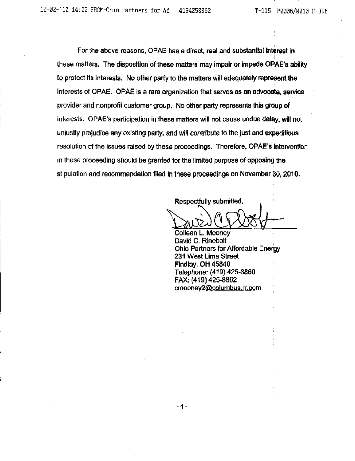For the above reasons, OPAE has a direct, real and substantial interest in these matters. The disposition of these matters may impair or impede OPAE's ability to protect its interests. No other party to the matters will adequately represent the interests of OPAE. OPAE is a rare organization that serves as an advocate, service provider and nonprofit customer group. No other party represents this group of interests. OPAE's participation in these matters will not cause undue delay, will not unjustly prejudice any existing party, and will contribute to the just and expeditious resolution of the issues raised by these proceedings. Therefore, OPAE's Intervention in these proceeding should be granted for the limited purpose of opposing the stipulation and recommendation filed In these proceedings on November 30.2010.

Respectfully submitted,

Colleen L. Mooney David C. Rinebolt Ohio Partners for Affordable Energy 231 West Lima Street Findlay, OH 45840 Telephone: (419)425-8860 FAX: (419) 425-8862 cmooney2@columbus.rr.com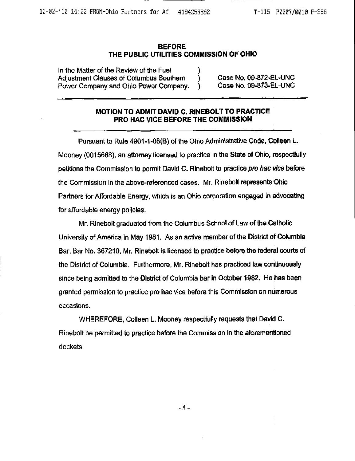#### BEFORE THE PUBLIC UTILITIES COMMISSION OF OHIO

In the Matter of the Review of the Fuel Adjustment Clauses of Columbus Southern (a) Case No. 09-872-EL-UNC<br>Power Company and Ohio Power Company. (a) Case No. 09-873-EL-UNC Power Company and Ohio Power Company. )

## MOTION TO ADMIT DAVID C. RINEBOLT TO PRACTICE PRO HAC VICE BEFORE THE COMMISSION

Pursuant to Rule 4901-1-08(B) of the Ohio Administrative Code, Colleen L. Mooney (0015668), an attorney licensed to practice in the State of Ohio, respectfully petitions the Commission to permit David C. Rinebolt to practice pro hac vice before the Commission in the above-referenced cases. Mr. Rinebolt represents Ohio Partners for Affoniable Energy, which is an Ohio corporation engaged in advocating for affordable energy policies.

Mr. Rinebolt graduated from the Columbus School of Law of the Catholic University of America in May 1981. As an active member of the District of Columbia Bar, Bar No. 367210, Mr. Rinebolt is licensed to practice before the federal courts of the District of Columbia. Furthermore, Mr. Rinebolt has practiced law continuously since being admitted to the District of Columbia bar in October 1982. He has been granted permission to practice pro hac vice before this Commission on numerous occasions.

WHEREFORE, Colleen L. Mooney respectfully requests that David C. Rinebolt be permitted to practice before the Commission in the aforementioned dockets.

-5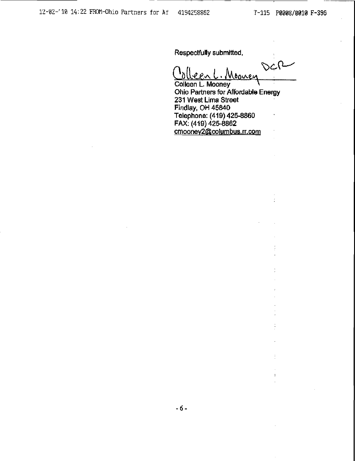Respectfully submitted.

DCR  $00n$ oonen

Colleen L. Mooney Ohio Partners for Affordable Energy 231 West Lima Street Findlay, OH 45840 Telephone: (419)425-8860 FAX; (419) 425-8862 cmoonev2{@columbus.rr.com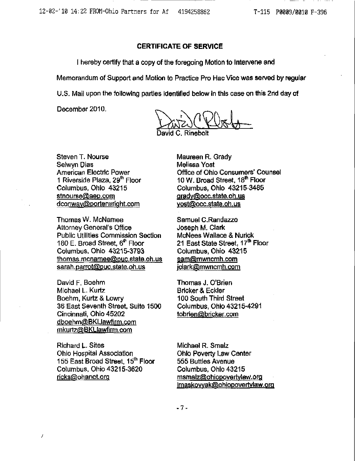### CERTIFICATE OF SERVICE

1 hereby certify that a copy of the foregoing Motion to Intervene and

Memorandum of Support and Motion to Practice Pro Hac Vice was served by regular

U.S. Mail upon the following parties Identified below in this case on this 2rid day of

December 2010.

Rinebolt

Steven T. Nourse Selwyn Dias American Electric Power 1 Riverside Plaza, 29<sup>th</sup> Floor Columbus, Ohio 43215 stnourse@aep.com dconway@porterwright.com

Thomas W. McNamee Attorney General's Office Public Utilities Commission Section 180 E. Broad Street,  $6<sup>th</sup>$  Floor Columbus. Ohio 43215-3793 thomas.mcnamee@puc.state.oh.us sarah.parrot@puc.state.oh.us

David F. Boehm Michael L. Kurtz Boehm, Kurtz & Lowry 36 East Seventh Street, Suite 1500 Cincinnati, Ohio 45202 [dboehm@BKLlawfirm.com](mailto:dboehm@BKLlawfirm.com)  mkurtz@BKLlawfirm.com

Richard L. Sites Ohio Hospital Association 155 East Broad Street, 15<sup>th</sup> Floor Columbus, Ohio 43215-3620 ricks@ohanet.org

 $\overline{I}$ 

Maureen R. Grady Melissa Yost Office of Ohio Consumers' Counsel 10 W. Broad Street, 18<sup>th</sup> Floor Columbus, Ohio 43215-3485 [gradv@occ.state.oh.us](mailto:gradv@occ.state.oh.us)  [vost@occ.state.oh.us](mailto:vost@occ.state.oh.us) 

Samuel C.Randazzo Joseph M. Clark McNees Wallace & Nurick 21 East State Street, 17th Floor Columbus, Ohio 43215 [sam@mwncmh.com](mailto:sam@mwncmh.com) [jclark@mwncmh.com](mailto:jclark@mwncmh.com)

Thomas J. O'Brien Bricker & Eckler 100 South Third Street Columbus. Ohio 43215-4291 tobrien@bricker.com

Michael R. Smalz Ohio Poverty Law Center 555 Buttles Avenue Columbus. Ohio 43215 msmalz@ohiopovertylaw.org [lmaskovvak@QhiQpovertvlaw.ora](mailto:lmaskovvak@QhiQpovertvlaw.ora)